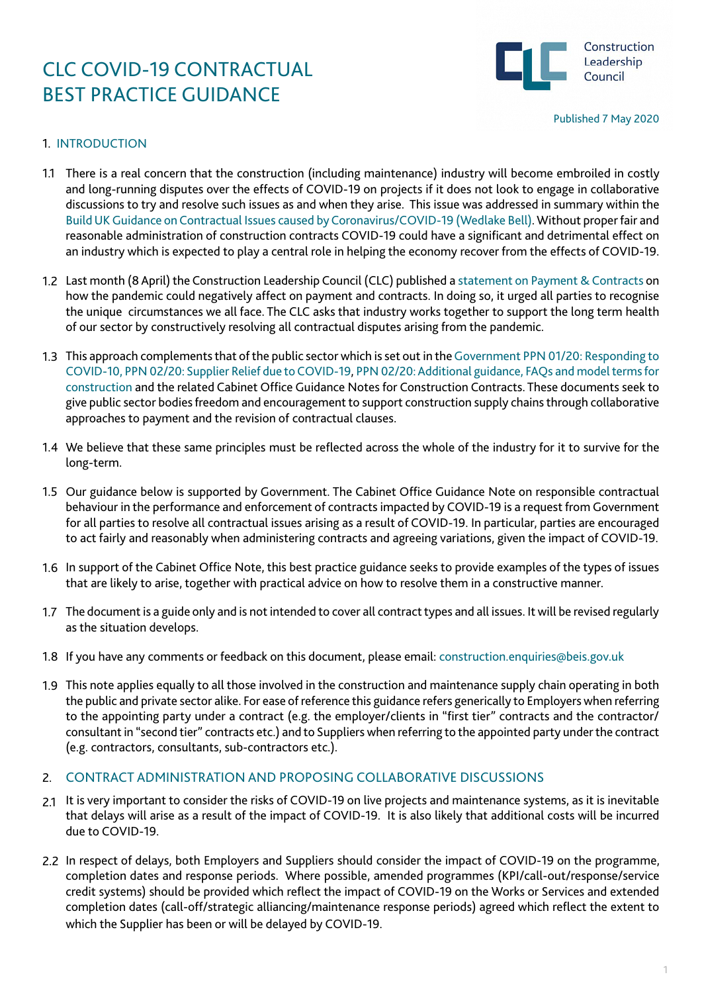

### 1. INTRODUCTION

- 1.1 There is a real concern that the construction (including maintenance) industry will become embroiled in costly and long-running disputes over the effects of COVID-19 on projects if it does not look to engage in collaborative discussions to try and resolve such issues as and when they arise. This issue was addressed in summary within the [Build UK Guidance on Contractual Issues caused by Coronavirus/COVID-19 \(Wedlake Bell\)](https://www.constructionleadershipcouncil.co.uk/news/clc-advice-on-temporary-suspension-of-sites/). Without proper fair and reasonable administration of construction contracts COVID-19 could have a significant and detrimental effect on an industry which is expected to play a central role in helping the economy recover from the effects of COVID-19.
- Last month (8 April) the Construction Leadership Council (CLC) published a [statement on Payment & Contracts](https://www.constructionleadershipcouncil.co.uk/news/clc-statement-on-payment-and-contracts/) on 1.2 how the pandemic could negatively affect on payment and contracts. In doing so, it urged all parties to recognise the unique circumstances we all face. The CLC asks that industry works together to support the long term health of our sector by constructively resolving all contractual disputes arising from the pandemic.
- This approach complements that of the public sector which is set out in the [Government PPN 01/20: Responding to](https://www.gov.uk/government/publications/procurement-policy-note-0220-supplier-relief-due-to-covid-19) 1.3 [COVID-10, PPN 02/20: Supplier Relief due to COVID-19,](https://www.gov.uk/government/publications/procurement-policy-note-0220-supplier-relief-due-to-covid-19) [PPN 02/20: Additional guidance, FAQs and model terms for](https://assets.publishing.service.gov.uk/government/uploads/system/uploads/attachment_data/file/880162/PPN-02_20-Additional-guidance-FAQs-and-model-terms-for-construction-20April.pdf) [construction](https://assets.publishing.service.gov.uk/government/uploads/system/uploads/attachment_data/file/880162/PPN-02_20-Additional-guidance-FAQs-and-model-terms-for-construction-20April.pdf) and the related Cabinet Office Guidance Notes for Construction Contracts. These documents seek to give public sector bodies freedom and encouragement to support construction supply chains through collaborative approaches to payment and the revision of contractual clauses.
- We believe that these same principles must be reflected across the whole of the industry for it to survive for the 1.4 long-term.
- 1.5 Our guidance below is supported by Government. The Cabinet Office Guidance Note on responsible contractual behaviour in the performance and enforcement of contracts impacted by COVID-19 is a request from Government for all parties to resolve all contractual issues arising as a result of COVID-19. In particular, parties are encouraged to act fairly and reasonably when administering contracts and agreeing variations, given the impact of COVID-19.
- 1.6 In support of the Cabinet Office Note, this best practice guidance seeks to provide examples of the types of issues that are likely to arise, together with practical advice on how to resolve them in a constructive manner.
- The document is a guide only and is not intended to cover all contract types and all issues. It will be revised regularly 1.7 as the situation develops.
- 1.8 If you have any comments or feedback on this document, please email: construction.enquiries@beis.gov.uk
- This note applies equally to all those involved in the construction and maintenance supply chain operating in both 1.9 the public and private sector alike. For ease of reference this guidance refers generically to Employers when referring to the appointing party under a contract (e.g. the employer/clients in "first tier" contracts and the contractor/ consultant in "second tier" contracts etc.) and to Suppliers when referring to the appointed party under the contract (e.g. contractors, consultants, sub-contractors etc.).

### 2. CONTRACT ADMINISTRATION AND PROPOSING COLLABORATIVE DISCUSSIONS

- 2.1 It is very important to consider the risks of COVID-19 on live projects and maintenance systems, as it is inevitable that delays will arise as a result of the impact of COVID-19. It is also likely that additional costs will be incurred due to COVID-19.
- 2.2 In respect of delays, both Employers and Suppliers should consider the impact of COVID-19 on the programme, completion dates and response periods. Where possible, amended programmes (KPI/call-out/response/service credit systems) should be provided which reflect the impact of COVID-19 on the Works or Services and extended completion dates (call-off/strategic alliancing/maintenance response periods) agreed which reflect the extent to which the Supplier has been or will be delayed by COVID-19.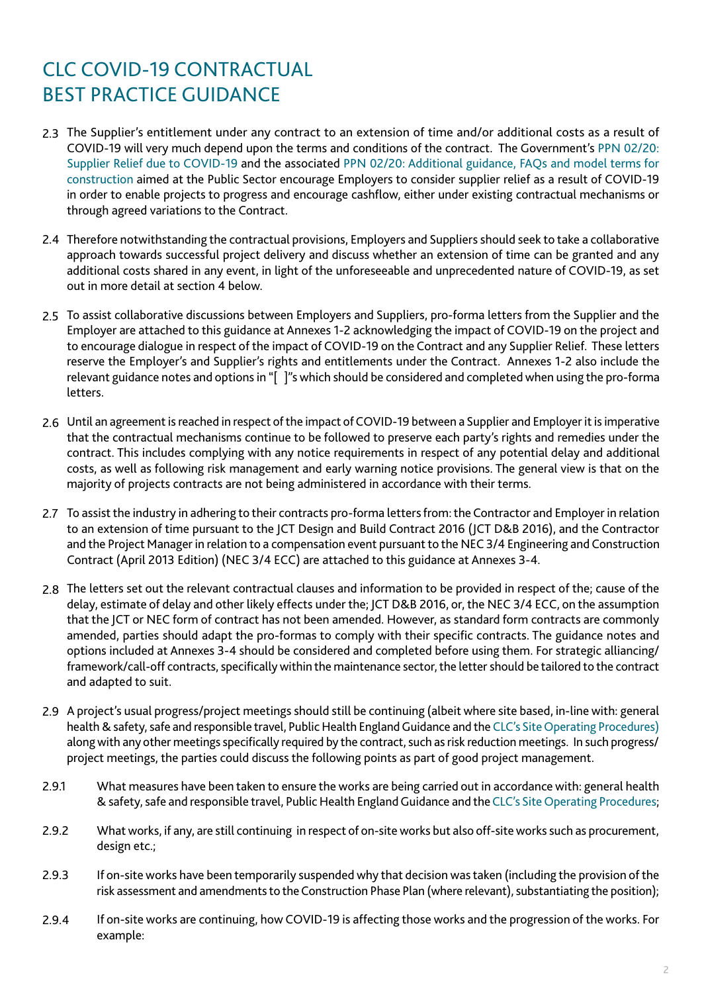- 2.3 The Supplier's entitlement under any contract to an extension of time and/or additional costs as a result of COVID-19 will very much depend upon the terms and conditions of the contract. The Government's [PPN 02/20:](https://www.gov.uk/government/publications/procurement-policy-note-0220-supplier-relief-due-to-covid-19) [Supplier Relief due to COVID-19](https://www.gov.uk/government/publications/procurement-policy-note-0220-supplier-relief-due-to-covid-19) and the associated [PPN 02/20: Additional guidance, FAQs and model terms for](https://assets.publishing.service.gov.uk/government/uploads/system/uploads/attachment_data/file/880162/PPN-02_20-Additional-guidance-FAQs-and-model-terms-for-construction-20April.pdf) [construction](https://assets.publishing.service.gov.uk/government/uploads/system/uploads/attachment_data/file/880162/PPN-02_20-Additional-guidance-FAQs-and-model-terms-for-construction-20April.pdf) aimed at the Public Sector encourage Employers to consider supplier relief as a result of COVID-19 in order to enable projects to progress and encourage cashflow, either under existing contractual mechanisms or through agreed variations to the Contract.
- 2.4 Therefore notwithstanding the contractual provisions, Employers and Suppliers should seek to take a collaborative approach towards successful project delivery and discuss whether an extension of time can be granted and any additional costs shared in any event, in light of the unforeseeable and unprecedented nature of COVID-19, as set out in more detail at section 4 below.
- 2.5 To assist collaborative discussions between Employers and Suppliers, pro-forma letters from the Supplier and the Employer are attached to this guidance at Annexes 1-2 acknowledging the impact of COVID-19 on the project and to encourage dialogue in respect of the impact of COVID-19 on the Contract and any Supplier Relief. These letters reserve the Employer's and Supplier's rights and entitlements under the Contract. Annexes 1-2 also include the relevant guidance notes and options in "[ ]"s which should be considered and completed when using the pro-forma letters.
- 2.6 Until an agreement is reached in respect of the impact of COVID-19 between a Supplier and Employer it is imperative that the contractual mechanisms continue to be followed to preserve each party's rights and remedies under the contract. This includes complying with any notice requirements in respect of any potential delay and additional costs, as well as following risk management and early warning notice provisions. The general view is that on the majority of projects contracts are not being administered in accordance with their terms.
- 2.7 To assist the industry in adhering to their contracts pro-forma letters from: the Contractor and Employer in relation to an extension of time pursuant to the JCT Design and Build Contract 2016 (JCT D&B 2016), and the Contractor and the Project Manager in relation to a compensation event pursuant to the NEC 3/4 Engineering and Construction Contract (April 2013 Edition) (NEC 3/4 ECC) are attached to this guidance at Annexes 3-4.
- 2.8 The letters set out the relevant contractual clauses and information to be provided in respect of the; cause of the delay, estimate of delay and other likely effects under the; JCT D&B 2016, or, the NEC 3/4 ECC, on the assumption that the JCT or NEC form of contract has not been amended. However, as standard form contracts are commonly amended, parties should adapt the pro-formas to comply with their specific contracts. The guidance notes and options included at Annexes 3-4 should be considered and completed before using them. For strategic alliancing/ framework/call-off contracts, specifically within the maintenance sector, the letter should be tailored to the contract and adapted to suit.
- 2.9 A project's usual progress/project meetings should still be continuing (albeit where site based, in-line with: general health & safety, safe and responsible travel, Public Health England Guidance and the [CLC's Site Operating Procedures\)](https://www.constructionleadershipcouncil.co.uk/news/site-operating-procedures-version-3-published/) along with any other meetings specifically required by the contract, such as risk reduction meetings. In such progress/ project meetings, the parties could discuss the following points as part of good project management.
- What measures have been taken to ensure the works are being carried out in accordance with: general health & safety, safe and responsible travel, Public Health England Guidance and the [CLC's Site Operating Procedures;](https://www.constructionleadershipcouncil.co.uk/news/site-operating-procedures-version-3-published/) 2.9.1
- What works, if any, are still continuing in respect of on-site works but also off-site works such as procurement, design etc.; 2.9.2
- If on-site works have been temporarily suspended why that decision was taken (including the provision of the risk assessment and amendments to the Construction Phase Plan (where relevant), substantiating the position); 2.9.3
- If on-site works are continuing, how COVID-19 is affecting those works and the progression of the works. For example: 2.9.4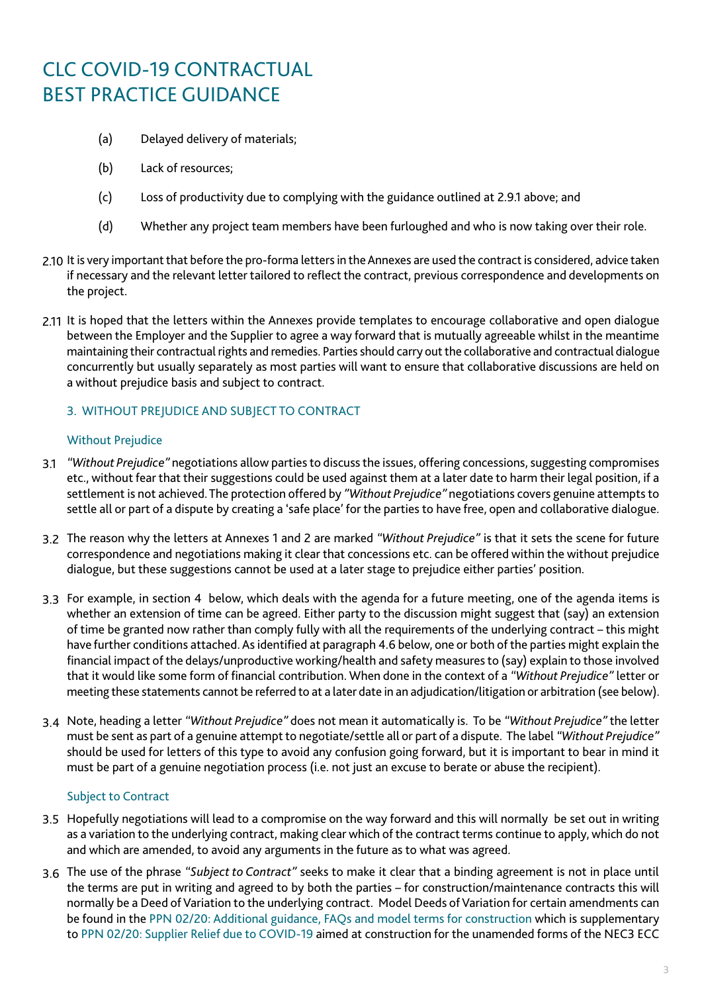- (a) Delayed delivery of materials;
- (b) Lack of resources;
- (c) Loss of productivity due to complying with the guidance outlined at 2.9.1 above; and
- (d) Whether any project team members have been furloughed and who is now taking over their role.
- 2.10 It is very important that before the pro-forma letters in the Annexes are used the contract is considered, advice taken if necessary and the relevant letter tailored to reflect the contract, previous correspondence and developments on the project.
- 2.11 It is hoped that the letters within the Annexes provide templates to encourage collaborative and open dialogue between the Employer and the Supplier to agree a way forward that is mutually agreeable whilst in the meantime maintaining their contractual rights and remedies. Parties should carry out the collaborative and contractual dialogue concurrently but usually separately as most parties will want to ensure that collaborative discussions are held on a without prejudice basis and subject to contract.

### 3. WITHOUT PREJUDICE AND SUBJECT TO CONTRACT

### Without Prejudice

- *"Without Prejudice"* negotiations allow parties to discuss the issues, offering concessions, suggesting compromises 3.1 etc., without fear that their suggestions could be used against them at a later date to harm their legal position, if a settlement is not achieved. The protection offered by *"Without Prejudice"* negotiations covers genuine attempts to settle all or part of a dispute by creating a 'safe place' for the parties to have free, open and collaborative dialogue.
- The reason why the letters at Annexes 1 and 2 are marked *"Without Prejudice"* is that it sets the scene for future 3.2 correspondence and negotiations making it clear that concessions etc. can be offered within the without prejudice dialogue, but these suggestions cannot be used at a later stage to prejudice either parties' position.
- 3.3 For example, in section 4 below, which deals with the agenda for a future meeting, one of the agenda items is whether an extension of time can be agreed. Either party to the discussion might suggest that (say) an extension of time be granted now rather than comply fully with all the requirements of the underlying contract – this might have further conditions attached. As identified at paragraph 4.6 below, one or both of the parties might explain the financial impact of the delays/unproductive working/health and safety measures to (say) explain to those involved that it would like some form of financial contribution. When done in the context of a *"Without Prejudice"* letter or meeting these statements cannot be referred to at a later date in an adjudication/litigation or arbitration (see below).
- Note, heading a letter *"Without Prejudice"* does not mean it automatically is. To be *"Without Prejudice"* the letter 3.4 must be sent as part of a genuine attempt to negotiate/settle all or part of a dispute. The label *"Without Prejudice"*  should be used for letters of this type to avoid any confusion going forward, but it is important to bear in mind it must be part of a genuine negotiation process (i.e. not just an excuse to berate or abuse the recipient).

#### Subject to Contract

- Hopefully negotiations will lead to a compromise on the way forward and this will normally be set out in writing 3.5 as a variation to the underlying contract, making clear which of the contract terms continue to apply, which do not and which are amended, to avoid any arguments in the future as to what was agreed.
- The use of the phrase *"Subject to Contract"* seeks to make it clear that a binding agreement is not in place until 3.6the terms are put in writing and agreed to by both the parties – for construction/maintenance contracts this will normally be a Deed of Variation to the underlying contract. Model Deeds of Variation for certain amendments can be found in the [PPN 02/20: Additional guidance, FAQs and model terms for construction](https://assets.publishing.service.gov.uk/government/uploads/system/uploads/attachment_data/file/880162/PPN-02_20-Additional-guidance-FAQs-and-model-terms-for-construction-20April.pdf) which is supplementary to [PPN 02/20: Supplier Relief due to COVID-19](https://www.gov.uk/government/publications/procurement-policy-note-0220-supplier-relief-due-to-covid-19) aimed at construction for the unamended forms of the NEC3 ECC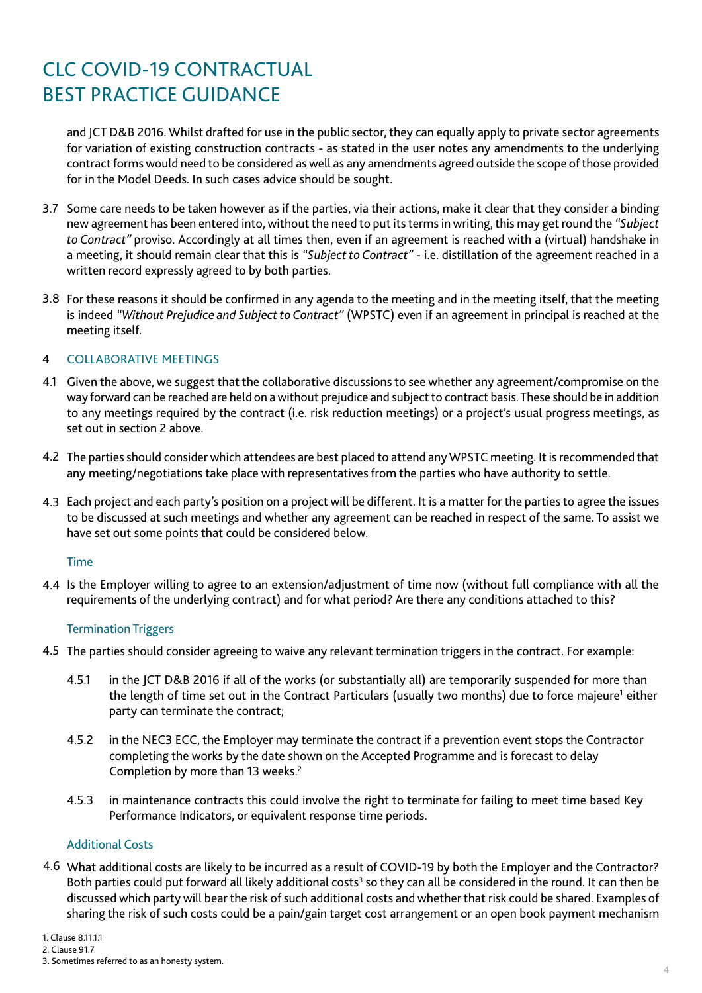and JCT D&B 2016. Whilst drafted for use in the public sector, they can equally apply to private sector agreements for variation of existing construction contracts - as stated in the user notes any amendments to the underlying contract forms would need to be considered as well as any amendments agreed outside the scope of those provided for in the Model Deeds. In such cases advice should be sought.

- 3.7 Some care needs to be taken however as if the parties, via their actions, make it clear that they consider a binding new agreement has been entered into, without the need to put its terms in writing, this may get round the *"Subject to Contract"* proviso. Accordingly at all times then, even if an agreement is reached with a (virtual) handshake in a meeting, it should remain clear that this is *"Subject to Contract"* - i.e. distillation of the agreement reached in a written record expressly agreed to by both parties.
- 3.8 For these reasons it should be confirmed in any agenda to the meeting and in the meeting itself, that the meeting is indeed *"Without Prejudice and Subject to Contract"* (WPSTC) even if an agreement in principal is reached at the meeting itself.

#### COLLABORATIVE MEETINGS 4

- 4.1 Given the above, we suggest that the collaborative discussions to see whether any agreement/compromise on the way forward can be reached are held on a without prejudice and subject to contract basis. These should be in addition to any meetings required by the contract (i.e. risk reduction meetings) or a project's usual progress meetings, as set out in section 2 above.
- 4.2 The parties should consider which attendees are best placed to attend any WPSTC meeting. It is recommended that any meeting/negotiations take place with representatives from the parties who have authority to settle.
- Each project and each party's position on a project will be different. It is a matter for the parties to agree the issues 4.3 to be discussed at such meetings and whether any agreement can be reached in respect of the same. To assist we have set out some points that could be considered below.

### Time

4.4 Is the Employer willing to agree to an extension/adjustment of time now (without full compliance with all the requirements of the underlying contract) and for what period? Are there any conditions attached to this?

### Termination Triggers

- 4.5 The parties should consider agreeing to waive any relevant termination triggers in the contract. For example:
	- 4.5.1 in the JCT D&B 2016 if all of the works (or substantially all) are temporarily suspended for more than the length of time set out in the Contract Particulars (usually two months) due to force majeure<sup>1</sup> either party can terminate the contract;
	- 4.5.2 in the NEC3 ECC, the Employer may terminate the contract if a prevention event stops the Contractor completing the works by the date shown on the Accepted Programme and is forecast to delay Completion by more than 13 weeks.<sup>2</sup>
	- 4.5.3 in maintenance contracts this could involve the right to terminate for failing to meet time based Key Performance Indicators, or equivalent response time periods.

### Additional Costs

What additional costs are likely to be incurred as a result of COVID-19 by both the Employer and the Contractor? 4.6 Both parties could put forward all likely additional costs<sup>3</sup> so they can all be considered in the round. It can then be discussed which party will bear the risk of such additional costs and whether that risk could be shared. Examples of sharing the risk of such costs could be a pain/gain target cost arrangement or an open book payment mechanism

1. Clause 8.11.1.1

<sup>3.</sup> Sometimes referred to as an honesty system.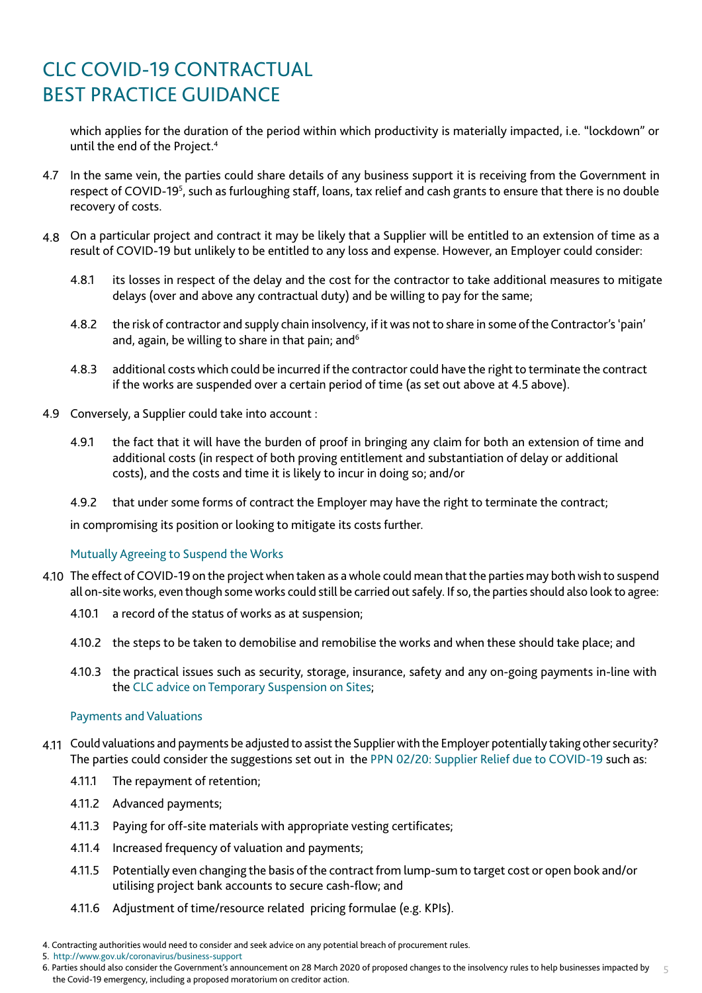which applies for the duration of the period within which productivity is materially impacted, i.e. "lockdown" or until the end of the Project.4

- 4.7 In the same vein, the parties could share details of any business support it is receiving from the Government in respect of COVID-19<sup>5</sup>, such as furloughing staff, loans, tax relief and cash grants to ensure that there is no double recovery of costs.
- On a particular project and contract it may be likely that a Supplier will be entitled to an extension of time as a 4.8 result of COVID-19 but unlikely to be entitled to any loss and expense. However, an Employer could consider:
	- 4.8.1 its losses in respect of the delay and the cost for the contractor to take additional measures to mitigate delays (over and above any contractual duty) and be willing to pay for the same;
	- 4.8.2 the risk of contractor and supply chain insolvency, if it was not to share in some of the Contractor's 'pain' and, again, be willing to share in that pain; and<sup>6</sup>
	- 4.8.3 additional costs which could be incurred if the contractor could have the right to terminate the contract if the works are suspended over a certain period of time (as set out above at 4.5 above).
- 4.9 Conversely, a Supplier could take into account :
	- 4.9.1 the fact that it will have the burden of proof in bringing any claim for both an extension of time and additional costs (in respect of both proving entitlement and substantiation of delay or additional costs), and the costs and time it is likely to incur in doing so; and/or
	- 4.9.2 that under some forms of contract the Employer may have the right to terminate the contract;

in compromising its position or looking to mitigate its costs further.

Mutually Agreeing to Suspend the Works

- 4.10 The effect of COVID-19 on the project when taken as a whole could mean that the parties may both wish to suspend all on-site works, even though some works could still be carried out safely. If so, the parties should also look to agree:
	- 4.10.1 a record of the status of works as at suspension;
	- 4.10.2 the steps to be taken to demobilise and remobilise the works and when these should take place; and
	- 4.10.3 the practical issues such as security, storage, insurance, safety and any on-going payments in-line with the [CLC advice on Temporary Suspension on Sites;](https://www.constructionleadershipcouncil.co.uk/news/clc-advice-on-temporary-suspension-of-sites/)

### Payments and Valuations

- Could valuations and payments be adjusted to assist the Supplier with the Employer potentially taking other security? 4.11 The parties could consider the suggestions set out in the [PPN 02/20: Supplier Relief due to COVID-19](https://www.gov.uk/government/publications/procurement-policy-note-0220-supplier-relief-due-to-covid-19) such as:
	- 4.11.1 The repayment of retention;
	- 4.11.2 Advanced payments;
	- 4.11.3 Paying for off-site materials with appropriate vesting certificates;
	- 4.11.4 Increased frequency of valuation and payments;
	- 4.11.5 Potentially even changing the basis of the contract from lump-sum to target cost or open book and/or utilising project bank accounts to secure cash-flow; and
	- 4.11.6 Adjustment of time/resource related pricing formulae (e.g. KPIs).
- 4. Contracting authorities would need to consider and seek advice on any potential breach of procurement rules.
- 5. <http://www.gov.uk/coronavirus/business-support>

<sup>5</sup> 6. Parties should also consider the Government's announcement on 28 March 2020 of proposed changes to the insolvency rules to help businesses impacted by the Covid-19 emergency, including a proposed moratorium on creditor action.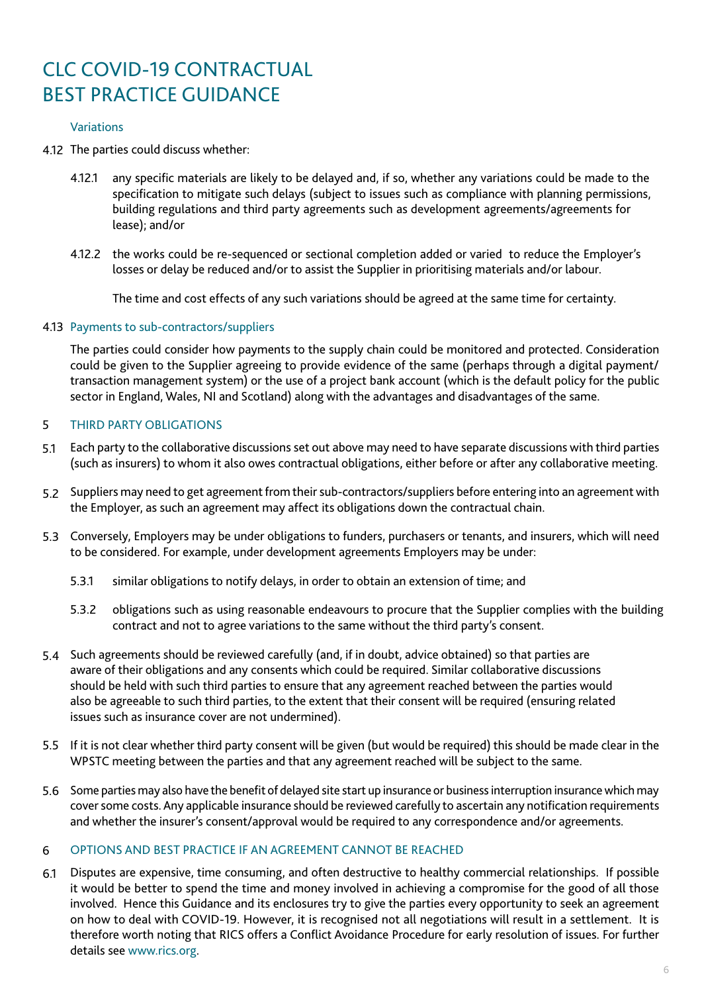### Variations

- The parties could discuss whether: 4.12
	- 4.12.1 any specific materials are likely to be delayed and, if so, whether any variations could be made to the specification to mitigate such delays (subject to issues such as compliance with planning permissions, building regulations and third party agreements such as development agreements/agreements for lease); and/or
	- 4.12.2 the works could be re-sequenced or sectional completion added or varied to reduce the Employer's losses or delay be reduced and/or to assist the Supplier in prioritising materials and/or labour.

The time and cost effects of any such variations should be agreed at the same time for certainty.

### 4.13 Payments to sub-contractors/suppliers

The parties could consider how payments to the supply chain could be monitored and protected. Consideration could be given to the Supplier agreeing to provide evidence of the same (perhaps through a digital payment/ transaction management system) or the use of a project bank account (which is the default policy for the public sector in England, Wales, NI and Scotland) along with the advantages and disadvantages of the same.

#### THIRD PARTY OBLIGATIONS 5

- Each party to the collaborative discussions set out above may need to have separate discussions with third parties 5.1 (such as insurers) to whom it also owes contractual obligations, either before or after any collaborative meeting.
- 5.2 Suppliers may need to get agreement from their sub-contractors/suppliers before entering into an agreement with the Employer, as such an agreement may affect its obligations down the contractual chain.
- Conversely, Employers may be under obligations to funders, purchasers or tenants, and insurers, which will need 5.3 to be considered. For example, under development agreements Employers may be under:
	- 5.3.1 similar obligations to notify delays, in order to obtain an extension of time; and
	- 5.3.2 obligations such as using reasonable endeavours to procure that the Supplier complies with the building contract and not to agree variations to the same without the third party's consent.
- Such agreements should be reviewed carefully (and, if in doubt, advice obtained) so that parties are 5.4 aware of their obligations and any consents which could be required. Similar collaborative discussions should be held with such third parties to ensure that any agreement reached between the parties would also be agreeable to such third parties, to the extent that their consent will be required (ensuring related issues such as insurance cover are not undermined).
- If it is not clear whether third party consent will be given (but would be required) this should be made clear in the 5.5 WPSTC meeting between the parties and that any agreement reached will be subject to the same.
- 5.6 Some parties may also have the benefit of delayed site start up insurance or business interruption insurance which may cover some costs. Any applicable insurance should be reviewed carefully to ascertain any notification requirements and whether the insurer's consent/approval would be required to any correspondence and/or agreements.

#### OPTIONS AND BEST PRACTICE IF AN AGREEMENT CANNOT BE REACHED 6

Disputes are expensive, time consuming, and often destructive to healthy commercial relationships. If possible it would be better to spend the time and money involved in achieving a compromise for the good of all those involved. Hence this Guidance and its enclosures try to give the parties every opportunity to seek an agreement on how to deal with COVID-19. However, it is recognised not all negotiations will result in a settlement. It is therefore worth noting that RICS offers a Conflict Avoidance Procedure for early resolution of issues. For further details see [www.rics.org.](http://www.rics.org) 6.1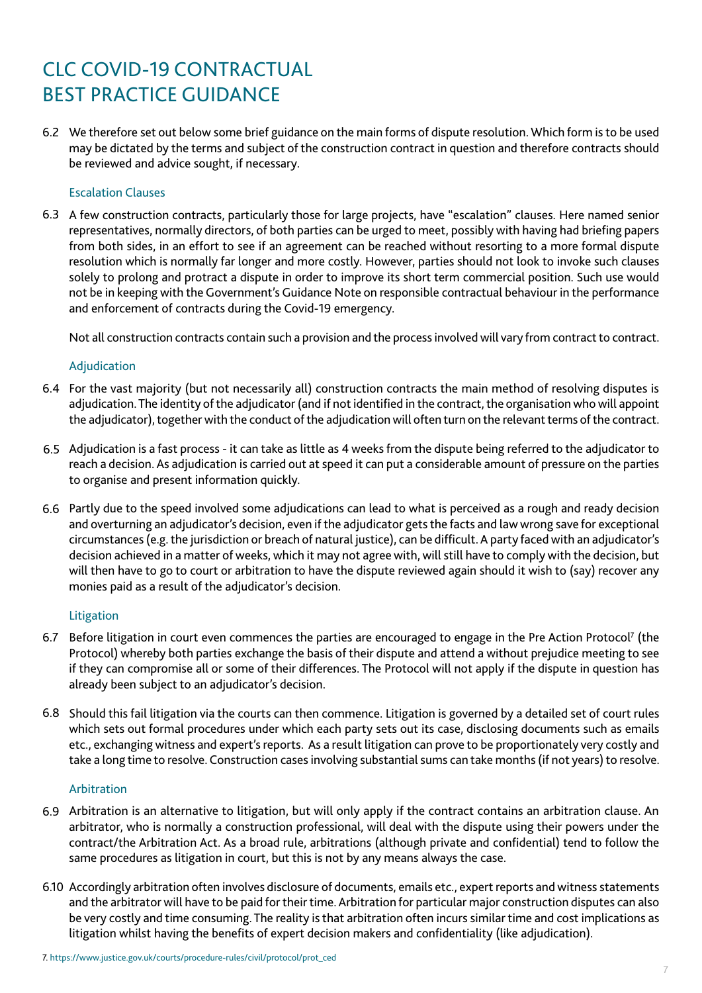We therefore set out below some brief guidance on the main forms of dispute resolution. Which form is to be used 6.2 may be dictated by the terms and subject of the construction contract in question and therefore contracts should be reviewed and advice sought, if necessary.

### Escalation Clauses

6.3 A few construction contracts, particularly those for large projects, have "escalation" clauses. Here named senior representatives, normally directors, of both parties can be urged to meet, possibly with having had briefing papers from both sides, in an effort to see if an agreement can be reached without resorting to a more formal dispute resolution which is normally far longer and more costly. However, parties should not look to invoke such clauses solely to prolong and protract a dispute in order to improve its short term commercial position. Such use would not be in keeping with the Government's Guidance Note on responsible contractual behaviour in the performance and enforcement of contracts during the Covid-19 emergency.

Not all construction contracts contain such a provision and the process involved will vary from contract to contract.

### Adjudication

- 6.4 For the vast majority (but not necessarily all) construction contracts the main method of resolving disputes is adjudication. The identity of the adjudicator (and if not identified in the contract, the organisation who will appoint the adjudicator), together with the conduct of the adjudication will often turn on the relevant terms of the contract.
- Adjudication is a fast process it can take as little as 4 weeks from the dispute being referred to the adjudicator to 6.5 reach a decision. As adjudication is carried out at speed it can put a considerable amount of pressure on the parties to organise and present information quickly.
- Partly due to the speed involved some adjudications can lead to what is perceived as a rough and ready decision 6.6 and overturning an adjudicator's decision, even if the adjudicator gets the facts and law wrong save for exceptional circumstances (e.g. the jurisdiction or breach of natural justice), can be difficult. A party faced with an adjudicator's decision achieved in a matter of weeks, which it may not agree with, will still have to comply with the decision, but will then have to go to court or arbitration to have the dispute reviewed again should it wish to (say) recover any monies paid as a result of the adjudicator's decision.

### Litigation

- 6.7 Before litigation in court even commences the parties are encouraged to engage in the Pre Action Protocol<sup>7</sup> (the Protocol) whereby both parties exchange the basis of their dispute and attend a without prejudice meeting to see if they can compromise all or some of their differences. The Protocol will not apply if the dispute in question has already been subject to an adjudicator's decision.
- 6.8 Should this fail litigation via the courts can then commence. Litigation is governed by a detailed set of court rules which sets out formal procedures under which each party sets out its case, disclosing documents such as emails etc., exchanging witness and expert's reports. As a result litigation can prove to be proportionately very costly and take a long time to resolve. Construction cases involving substantial sums can take months (if not years) to resolve.

### Arbitration

- 6.9 Arbitration is an alternative to litigation, but will only apply if the contract contains an arbitration clause. An arbitrator, who is normally a construction professional, will deal with the dispute using their powers under the contract/the Arbitration Act. As a broad rule, arbitrations (although private and confidential) tend to follow the same procedures as litigation in court, but this is not by any means always the case.
- 6.10 Accordingly arbitration often involves disclosure of documents, emails etc., expert reports and witness statements and the arbitrator will have to be paid for their time. Arbitration for particular major construction disputes can also be very costly and time consuming. The reality is that arbitration often incurs similar time and cost implications as litigation whilst having the benefits of expert decision makers and confidentiality (like adjudication).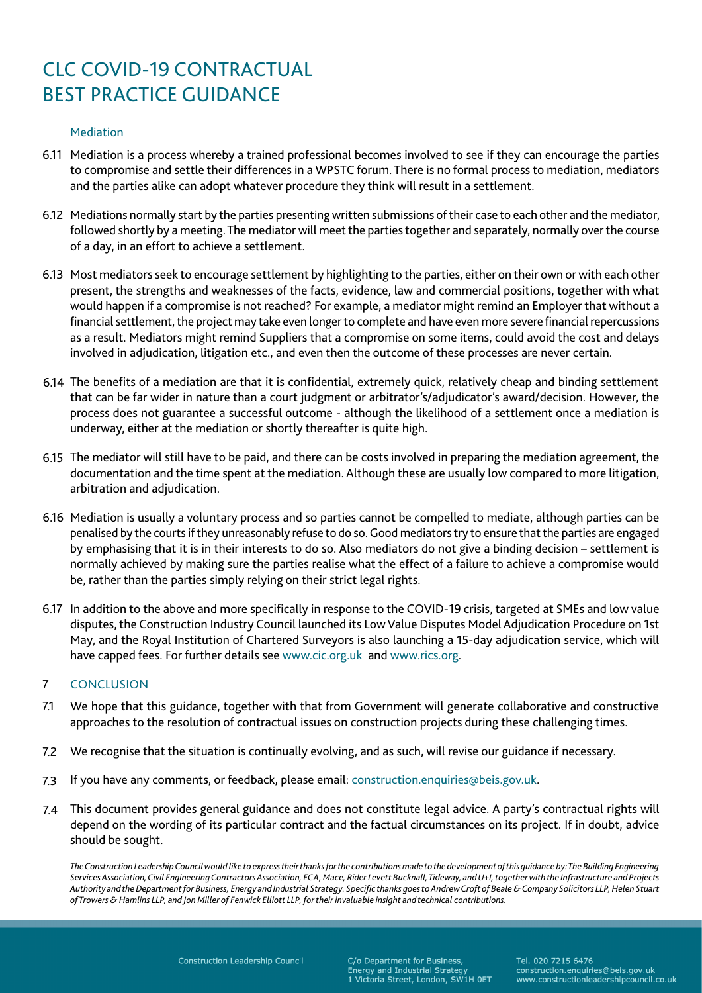### Mediation

- 6.11 Mediation is a process whereby a trained professional becomes involved to see if they can encourage the parties to compromise and settle their differences in a WPSTC forum. There is no formal process to mediation, mediators and the parties alike can adopt whatever procedure they think will result in a settlement.
- 6.12 Mediations normally start by the parties presenting written submissions of their case to each other and the mediator, followed shortly by a meeting. The mediator will meet the parties together and separately, normally over the course of a day, in an effort to achieve a settlement.
- 6.13 Most mediators seek to encourage settlement by highlighting to the parties, either on their own or with each other present, the strengths and weaknesses of the facts, evidence, law and commercial positions, together with what would happen if a compromise is not reached? For example, a mediator might remind an Employer that without a financial settlement, the project may take even longer to complete and have even more severe financial repercussions as a result. Mediators might remind Suppliers that a compromise on some items, could avoid the cost and delays involved in adjudication, litigation etc., and even then the outcome of these processes are never certain.
- The benefits of a mediation are that it is confidential, extremely quick, relatively cheap and binding settlement 6.14 that can be far wider in nature than a court judgment or arbitrator's/adjudicator's award/decision. However, the process does not guarantee a successful outcome - although the likelihood of a settlement once a mediation is underway, either at the mediation or shortly thereafter is quite high.
- The mediator will still have to be paid, and there can be costs involved in preparing the mediation agreement, the 6.15 documentation and the time spent at the mediation. Although these are usually low compared to more litigation, arbitration and adjudication.
- 6.16 Mediation is usually a voluntary process and so parties cannot be compelled to mediate, although parties can be penalised by the courts if they unreasonably refuse to do so. Good mediators try to ensure that the parties are engaged by emphasising that it is in their interests to do so. Also mediators do not give a binding decision – settlement is normally achieved by making sure the parties realise what the effect of a failure to achieve a compromise would be, rather than the parties simply relying on their strict legal rights.
- 6.17 In addition to the above and more specifically in response to the COVID-19 crisis, targeted at SMEs and low value disputes, the Construction Industry Council launched its Low Value Disputes Model Adjudication Procedure on 1st May, and the Royal Institution of Chartered Surveyors is also launching a 15-day adjudication service, which will have capped fees. For further details see [www.cic.org.uk](http://www.cic.org.uk) and [www.rics.org.](http://www.rics.org)

#### **CONCLUSION** 7

- We hope that this guidance, together with that from Government will generate collaborative and constructive approaches to the resolution of contractual issues on construction projects during these challenging times. 7.1
- We recognise that the situation is continually evolving, and as such, will revise our guidance if necessary. 7.2
- If you have any comments, or feedback, please email: construction.enquiries@beis.gov.uk. 7.3
- This document provides general guidance and does not constitute legal advice. A party's contractual rights will depend on the wording of its particular contract and the factual circumstances on its project. If in doubt, advice should be sought. 7.4

*The Construction Leadership Council would like to express their thanks for the contributions made to the development of this guidance by: The Building Engineering Services Association, Civil Engineering Contractors Association, ECA, Mace, Rider Levett Bucknall, Tideway, and U+I, together with the Infrastructure and Projects Authority and the Department for Business, Energy and Industrial Strategy. Specific thanks goes to Andrew Croft of Beale & Company Solicitors LLP, Helen Stuart of Trowers & Hamlins LLP, and Jon Miller of Fenwick Elliott LLP, for their invaluable insight and technical contributions.*

C/o Department for Business, Energy and Industrial Strategy 1 Victoria Street, London, SW1H 0ET

Tel. 020 7215 6476 construction.enquiries@beis.gov.uk www.constructionleadershipcouncil.co.uk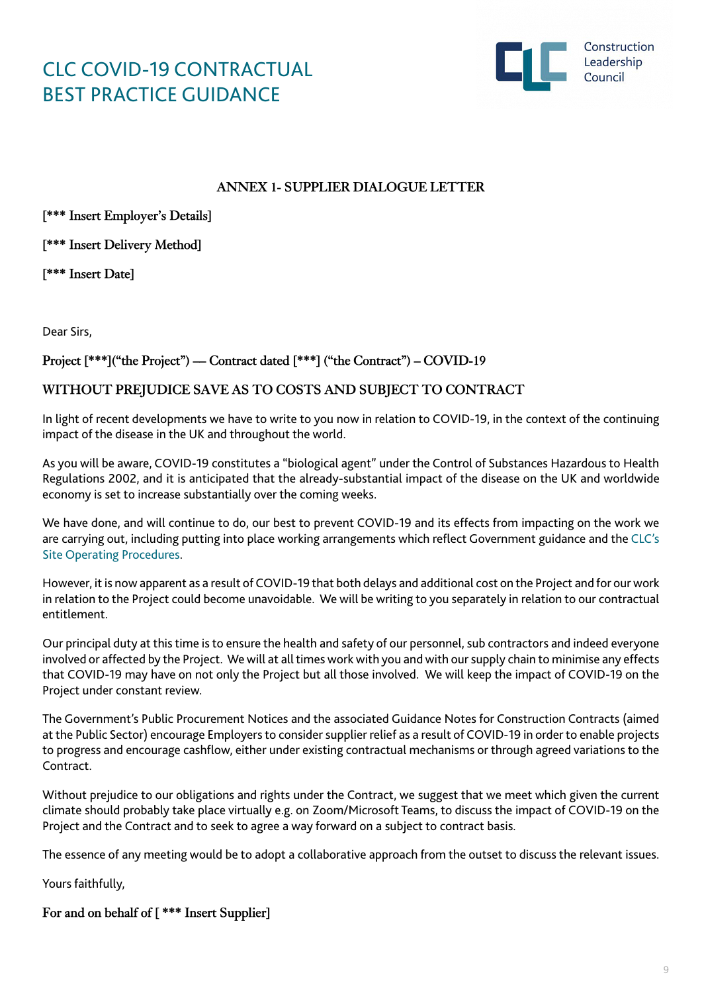

### **ANNEX 1- SUPPLIER DIALOGUE LETTER**

**[\*\*\* Insert Employer's Details]**

**[\*\*\* Insert Delivery Method]**

**[\*\*\* Insert Date]**

Dear Sirs,

**Project [\*\*\*]("the Project") –– Contract dated [\*\*\*] ("the Contract") – COVID-19** 

### **WITHOUT PREJUDICE SAVE AS TO COSTS AND SUBJECT TO CONTRACT**

In light of recent developments we have to write to you now in relation to COVID-19, in the context of the continuing impact of the disease in the UK and throughout the world.

As you will be aware, COVID-19 constitutes a "biological agent" under the Control of Substances Hazardous to Health Regulations 2002, and it is anticipated that the already-substantial impact of the disease on the UK and worldwide economy is set to increase substantially over the coming weeks.

We have done, and will continue to do, our best to prevent COVID-19 and its effects from impacting on the work we are carrying out, including putting into place working arrangements which reflect Government guidance and the [CLC's](https://www.constructionleadershipcouncil.co.uk/news/site-operating-procedures-version-3-published/) [Site Operating Procedures.](https://www.constructionleadershipcouncil.co.uk/news/site-operating-procedures-version-3-published/)

However, it is now apparent as a result of COVID-19 that both delays and additional cost on the Project and for our work in relation to the Project could become unavoidable. We will be writing to you separately in relation to our contractual entitlement.

Our principal duty at this time is to ensure the health and safety of our personnel, sub contractors and indeed everyone involved or affected by the Project. We will at all times work with you and with our supply chain to minimise any effects that COVID-19 may have on not only the Project but all those involved. We will keep the impact of COVID-19 on the Project under constant review.

The Government's Public Procurement Notices and the associated Guidance Notes for Construction Contracts (aimed at the Public Sector) encourage Employers to consider supplier relief as a result of COVID-19 in order to enable projects to progress and encourage cashflow, either under existing contractual mechanisms or through agreed variations to the **Contract** 

Without prejudice to our obligations and rights under the Contract, we suggest that we meet which given the current climate should probably take place virtually e.g. on Zoom/Microsoft Teams, to discuss the impact of COVID-19 on the Project and the Contract and to seek to agree a way forward on a subject to contract basis.

The essence of any meeting would be to adopt a collaborative approach from the outset to discuss the relevant issues.

Yours faithfully,

```
For and on behalf of [ *** Insert Supplier]
```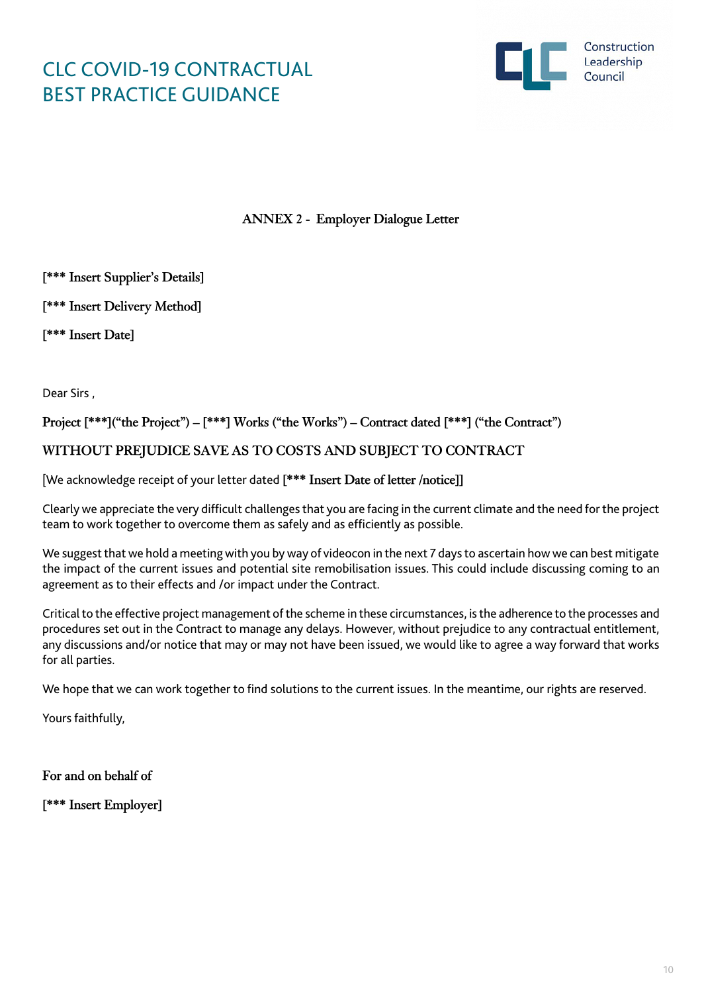

**ANNEX 2 - Employer Dialogue Letter**

**[\*\*\* Insert Supplier's Details]**

**[\*\*\* Insert Delivery Method]**

**[\*\*\* Insert Date]**

Dear Sirs ,

**Project [\*\*\*]("the Project") – [\*\*\*] Works ("the Works") – Contract dated [\*\*\*] ("the Contract")** 

**WITHOUT PREJUDICE SAVE AS TO COSTS AND SUBJECT TO CONTRACT**

[We acknowledge receipt of your letter dated **[\*\*\* Insert Date of letter /notice]]** 

Clearly we appreciate the very difficult challenges that you are facing in the current climate and the need for the project team to work together to overcome them as safely and as efficiently as possible.

We suggest that we hold a meeting with you by way of videocon in the next 7 days to ascertain how we can best mitigate the impact of the current issues and potential site remobilisation issues. This could include discussing coming to an agreement as to their effects and /or impact under the Contract.

Critical to the effective project management of the scheme in these circumstances, is the adherence to the processes and procedures set out in the Contract to manage any delays. However, without prejudice to any contractual entitlement, any discussions and/or notice that may or may not have been issued, we would like to agree a way forward that works for all parties.

We hope that we can work together to find solutions to the current issues. In the meantime, our rights are reserved.

Yours faithfully,

**For and on behalf of**

**[\*\*\* Insert Employer]**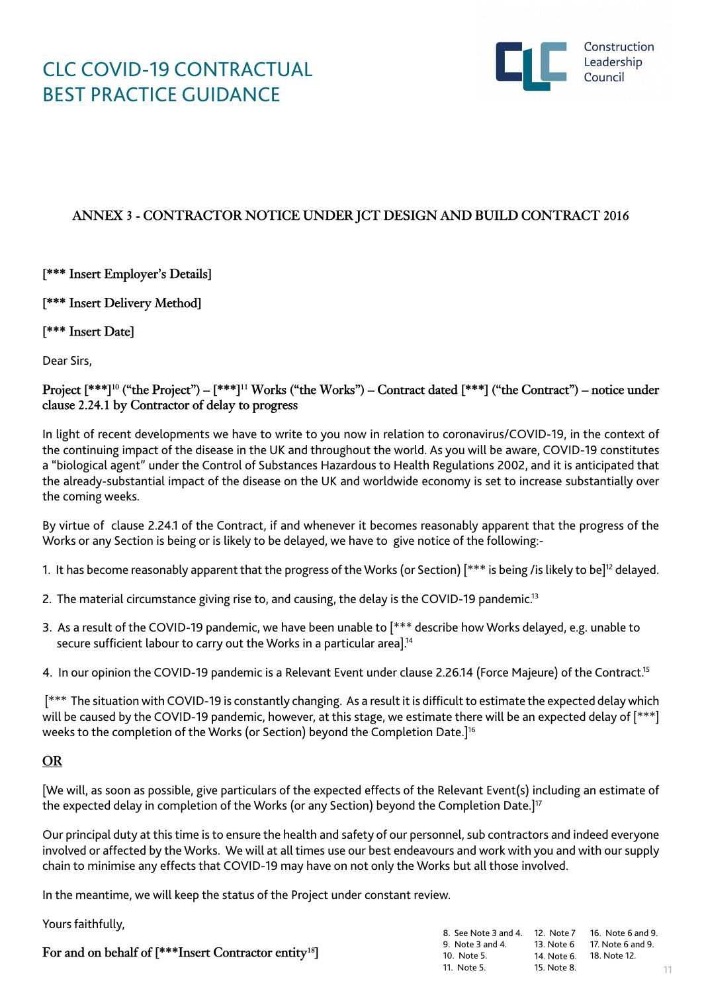

11

### **ANNEX 3 - CONTRACTOR NOTICE UNDER JCT DESIGN AND BUILD CONTRACT 2016**

**[\*\*\* Insert Employer's Details]** 

**[\*\*\* Insert Delivery Method]** 

**[\*\*\* Insert Date]**

Dear Sirs,

**Project [\*\*\*]10 ("the Project") – [\*\*\*]11 Works ("the Works") – Contract dated [\*\*\*] ("the Contract") – notice under clause 2.24.1 by Contractor of delay to progress**

In light of recent developments we have to write to you now in relation to coronavirus/COVID-19, in the context of the continuing impact of the disease in the UK and throughout the world. As you will be aware, COVID-19 constitutes a "biological agent" under the Control of Substances Hazardous to Health Regulations 2002, and it is anticipated that the already-substantial impact of the disease on the UK and worldwide economy is set to increase substantially over the coming weeks.

By virtue of clause 2.24.1 of the Contract, if and whenever it becomes reasonably apparent that the progress of the Works or any Section is being or is likely to be delayed, we have to give notice of the following:-

- 1. It has become reasonably apparent that the progress of the Works (or Section) [\*\*\* is being /is likely to be]12 delayed.
- 2. The material circumstance giving rise to, and causing, the delay is the COVID-19 pandemic.<sup>13</sup>
- 3. As a result of the COVID-19 pandemic, we have been unable to [\*\*\* describe how Works delayed, e.g. unable to secure sufficient labour to carry out the Works in a particular area].<sup>14</sup>

4. In our opinion the COVID-19 pandemic is a Relevant Event under clause 2.26.14 (Force Majeure) of the Contract.<sup>15</sup>

 [\*\*\* The situation with COVID-19 is constantly changing. As a result it is difficult to estimate the expected delay which will be caused by the COVID-19 pandemic, however, at this stage, we estimate there will be an expected delay of [\*\*\*] weeks to the completion of the Works (or Section) beyond the Completion Date.]<sup>16</sup>

### **OR**

[We will, as soon as possible, give particulars of the expected effects of the Relevant Event(s) including an estimate of the expected delay in completion of the Works (or any Section) beyond the Completion Date.]<sup>17</sup>

Our principal duty at this time is to ensure the health and safety of our personnel, sub contractors and indeed everyone involved or affected by the Works. We will at all times use our best endeavours and work with you and with our supply chain to minimise any effects that COVID-19 may have on not only the Works but all those involved.

In the meantime, we will keep the status of the Project under constant review.

Yours faithfully,

|                                                                   | 8. See Note 3 and 4. 12. Note 7 16. Note 6 and 9. |             |                              |
|-------------------------------------------------------------------|---------------------------------------------------|-------------|------------------------------|
| For and on behalf of [***Insert Contractor entity <sup>18</sup> ] | 9. Note 3 and 4.                                  |             | 13. Note 6 17. Note 6 and 9. |
|                                                                   | 10. Note 5.                                       |             |                              |
|                                                                   | 11. Note 5.                                       | 15. Note 8. |                              |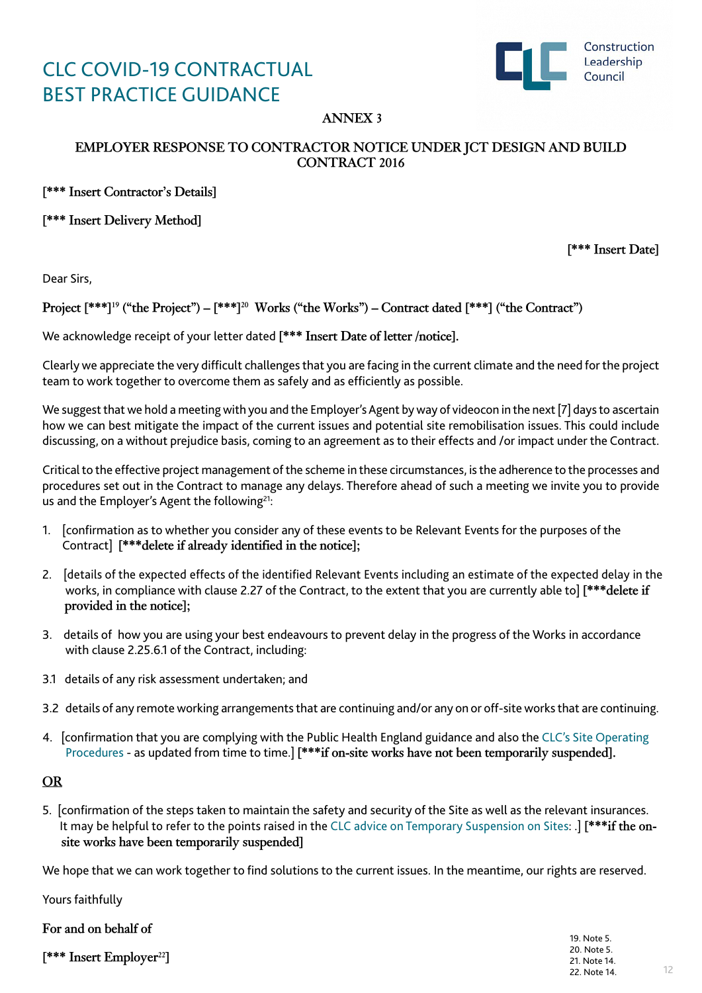

## **ANNEX 3**

### **EMPLOYER RESPONSE TO CONTRACTOR NOTICE UNDER JCT DESIGN AND BUILD CONTRACT 2016**

**[\*\*\* Insert Contractor's Details]**

**[\*\*\* Insert Delivery Method]**

**[\*\*\* Insert Date]**

Dear Sirs,

**Project [\*\*\*]19 ("the Project") – [\*\*\*]20 Works ("the Works") – Contract dated [\*\*\*] ("the Contract")** 

We acknowledge receipt of your letter dated **[\*\*\* Insert Date of letter /notice].** 

Clearly we appreciate the very difficult challenges that you are facing in the current climate and the need for the project team to work together to overcome them as safely and as efficiently as possible.

We suggest that we hold a meeting with you and the Employer's Agent by way of videocon in the next [7] days to ascertain how we can best mitigate the impact of the current issues and potential site remobilisation issues. This could include discussing, on a without prejudice basis, coming to an agreement as to their effects and /or impact under the Contract.

Critical to the effective project management of the scheme in these circumstances, is the adherence to the processes and procedures set out in the Contract to manage any delays. Therefore ahead of such a meeting we invite you to provide us and the Employer's Agent the following<sup>21</sup>:

- 1. [confirmation as to whether you consider any of these events to be Relevant Events for the purposes of the Contract] **[\*\*\*delete if already identified in the notice];**
- 2. [details of the expected effects of the identified Relevant Events including an estimate of the expected delay in the works, in compliance with clause 2.27 of the Contract, to the extent that you are currently able to] **[\*\*\*delete if provided in the notice];**
- 3. details of how you are using your best endeavours to prevent delay in the progress of the Works in accordance with clause 2.25.6.1 of the Contract, including:
- 3.1 details of any risk assessment undertaken; and
- 3.2 details of any remote working arrangements that are continuing and/or any on or off-site works that are continuing.
- 4. [confirmation that you are complying with the Public Health England guidance and also the [CLC's Site Operating](https://www.constructionleadershipcouncil.co.uk/news/site-operating-procedures-version-3-published/)   [Procedures](https://www.constructionleadershipcouncil.co.uk/news/site-operating-procedures-version-3-published/) - as updated from time to time.] **[\*\*\*if on-site works have not been temporarily suspended].**

### **OR**

5. [confirmation of the steps taken to maintain the safety and security of the Site as well as the relevant insurances. It may be helpful to refer to the points raised in the [CLC advice on Temporary Suspension on Sites:](https://www.constructionleadershipcouncil.co.uk/news/clc-advice-on-temporary-suspension-of-sites/) .] **[\*\*\*if the on site works have been temporarily suspended]** 

We hope that we can work together to find solutions to the current issues. In the meantime, our rights are reserved.

Yours faithfully

| For and on behalf of                 |              |
|--------------------------------------|--------------|
| [*** Insert Employer <sup>22</sup> ] | 19. Note 5.  |
|                                      | 20. Note 5.  |
|                                      | 21. Note 14. |
|                                      | 22. Note 14. |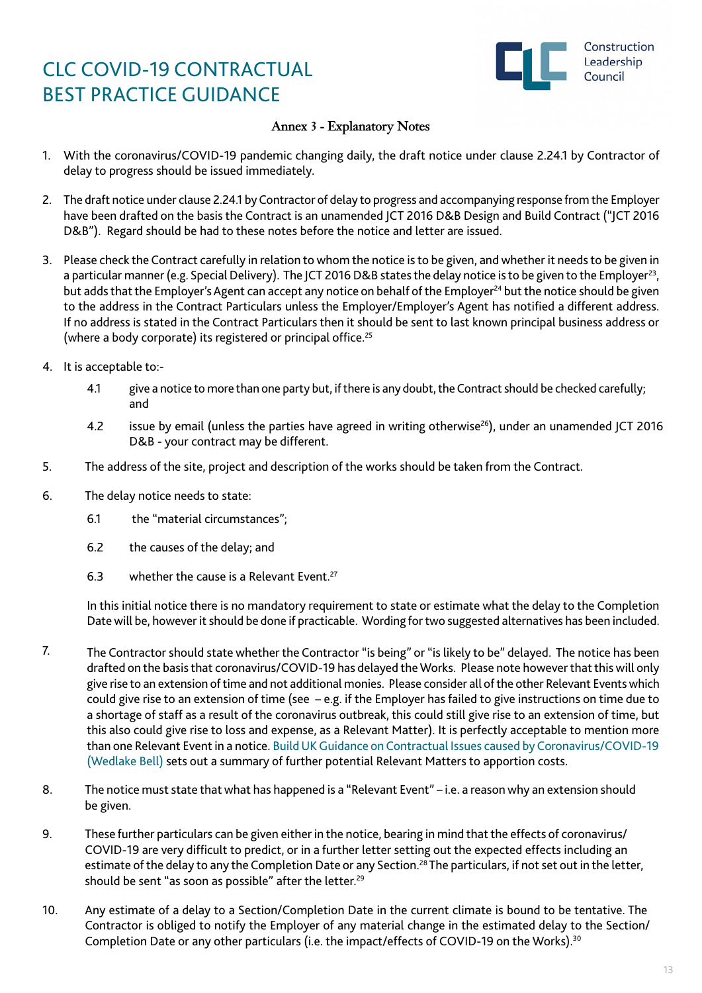

### **Annex 3 - Explanatory Notes**

- 1. With the coronavirus/COVID-19 pandemic changing daily, the draft notice under clause 2.24.1 by Contractor of delay to progress should be issued immediately.
- 2. The draft notice under clause 2.24.1 by Contractor of delay to progress and accompanying response from the Employer have been drafted on the basis the Contract is an unamended JCT 2016 D&B Design and Build Contract ("JCT 2016 D&B"). Regard should be had to these notes before the notice and letter are issued.
- 3. Please check the Contract carefully in relation to whom the notice is to be given, and whether it needs to be given in a particular manner (e.g. Special Delivery). The JCT 2016 D&B states the delay notice is to be given to the Employer<sup>23</sup>, but adds that the Employer's Agent can accept any notice on behalf of the Employer<sup>24</sup> but the notice should be given to the address in the Contract Particulars unless the Employer/Employer's Agent has notified a different address. If no address is stated in the Contract Particulars then it should be sent to last known principal business address or (where a body corporate) its registered or principal office.<sup>25</sup>
- 4. It is acceptable to:-
	- 4.1 give a notice to more than one party but, if there is any doubt, the Contract should be checked carefully; and
	- 4.2 issue by email (unless the parties have agreed in writing otherwise<sup>26</sup>), under an unamended JCT 2016 D&B - your contract may be different.
- 5. The address of the site, project and description of the works should be taken from the Contract.
- 6. The delay notice needs to state:
	- 6.1 the "material circumstances";
	- 6.2 the causes of the delay; and
	- 6.3 whether the cause is a Relevant Event.<sup>27</sup>

In this initial notice there is no mandatory requirement to state or estimate what the delay to the Completion Date will be, however it should be done if practicable. Wording for two suggested alternatives has been included.

- 7. The Contractor should state whether the Contractor "is being" or "is likely to be" delayed. The notice has been drafted on the basis that coronavirus/COVID-19 has delayed the Works. Please note however that this will only give rise to an extension of time and not additional monies. Please consider all of the other Relevant Events which could give rise to an extension of time (see – e.g. if the Employer has failed to give instructions on time due to a shortage of staff as a result of the coronavirus outbreak, this could still give rise to an extension of time, but this also could give rise to loss and expense, as a Relevant Matter). It is perfectly acceptable to mention more than one Relevant Event in a notice. [Build UK Guidance on Contractual Issues caused by Coronavirus/COVID-19](https://builduk.org/wp-content/uploads/2020/03/Guidance-on-Contractual-Issues-Caused-by-Coronavirus.pdf)  [\(Wedlake Bell\)](https://builduk.org/wp-content/uploads/2020/03/Guidance-on-Contractual-Issues-Caused-by-Coronavirus.pdf) sets out a summary of further potential Relevant Matters to apportion costs.
- 8. The notice must state that what has happened is a "Relevant Event" i.e. a reason why an extension should be given.
- 9. These further particulars can be given either in the notice, bearing in mind that the effects of coronavirus/ COVID-19 are very difficult to predict, or in a further letter setting out the expected effects including an estimate of the delay to any the Completion Date or any Section.<sup>28</sup> The particulars, if not set out in the letter, should be sent "as soon as possible" after the letter.<sup>29</sup>
- 10. Any estimate of a delay to a Section/Completion Date in the current climate is bound to be tentative. The Contractor is obliged to notify the Employer of any material change in the estimated delay to the Section/ Completion Date or any other particulars (i.e. the impact/effects of COVID-19 on the Works).<sup>30</sup>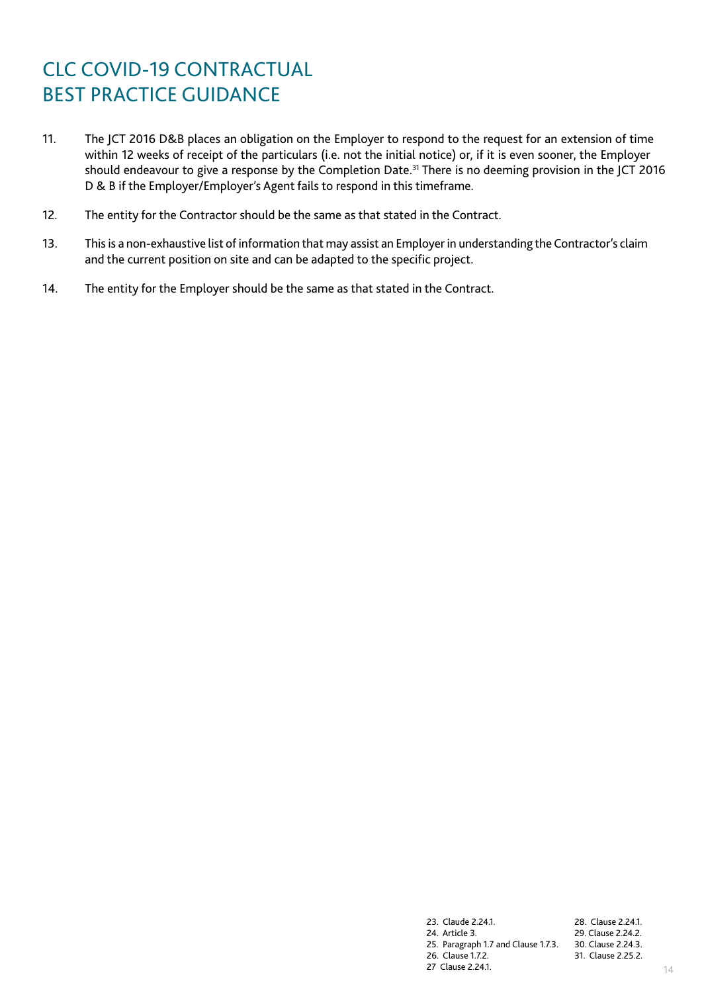- 11. The JCT 2016 D&B places an obligation on the Employer to respond to the request for an extension of time within 12 weeks of receipt of the particulars (i.e. not the initial notice) or, if it is even sooner, the Employer should endeavour to give a response by the Completion Date.<sup>31</sup> There is no deeming provision in the JCT 2016 D & B if the Employer/Employer's Agent fails to respond in this timeframe.
- 12. The entity for the Contractor should be the same as that stated in the Contract.
- 13. This is a non-exhaustive list of information that may assist an Employer in understanding the Contractor's claim and the current position on site and can be adapted to the specific project.
- 14. The entity for the Employer should be the same as that stated in the Contract.

23. Claude 2.24.1. 28. Clause 2.24.1. 24. Article 3. 25. Paragraph 1.7 and Clause 1.7.3. 30. Clause 2.24.3. 26. Clause 1.7.2. 27 Clause 2.24.1. 29. Clause 2.24.2. 31. Clause 2.25.2.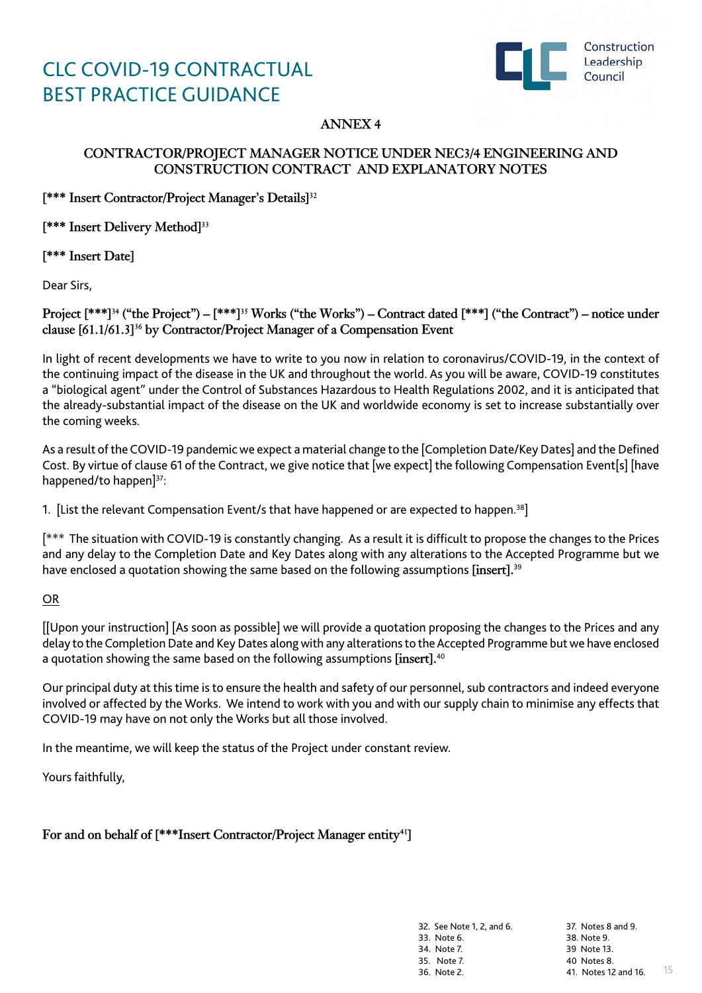

## **ANNEX 4**

### **CONTRACTOR/PROJECT MANAGER NOTICE UNDER NEC3/4 ENGINEERING AND CONSTRUCTION CONTRACT AND EXPLANATORY NOTES**

**[\*\*\* Insert Contractor/Project Manager's Details]32**

**[\*\*\* Insert Delivery Method]33**

**[\*\*\* Insert Date]**

Dear Sirs,

**Project [\*\*\*]34 ("the Project") – [\*\*\*]35 Works ("the Works") – Contract dated [\*\*\*] ("the Contract") – notice under clause [61.1/61.3]36 by Contractor/Project Manager of a Compensation Event** 

In light of recent developments we have to write to you now in relation to coronavirus/COVID-19, in the context of the continuing impact of the disease in the UK and throughout the world. As you will be aware, COVID-19 constitutes a "biological agent" under the Control of Substances Hazardous to Health Regulations 2002, and it is anticipated that the already-substantial impact of the disease on the UK and worldwide economy is set to increase substantially over the coming weeks.

As a result of the COVID-19 pandemic we expect a material change to the [Completion Date/Key Dates] and the Defined Cost. By virtue of clause 61 of the Contract, we give notice that [we expect] the following Compensation Event[s] [have happened/to happen]<sup>37</sup>:

1. [List the relevant Compensation Event/s that have happened or are expected to happen.<sup>38</sup>]

[\*\*\* The situation with COVID-19 is constantly changing. As a result it is difficult to propose the changes to the Prices and any delay to the Completion Date and Key Dates along with any alterations to the Accepted Programme but we have enclosed a quotation showing the same based on the following assumptions **[insert].**<sup>39</sup>

OR

[[Upon your instruction] [As soon as possible] we will provide a quotation proposing the changes to the Prices and any delay to the Completion Date and Key Dates along with any alterations to the Accepted Programme but we have enclosed a quotation showing the same based on the following assumptions **[insert].**<sup>40</sup>

Our principal duty at this time is to ensure the health and safety of our personnel, sub contractors and indeed everyone involved or affected by the Works. We intend to work with you and with our supply chain to minimise any effects that COVID-19 may have on not only the Works but all those involved.

In the meantime, we will keep the status of the Project under constant review.

Yours faithfully,

For and on behalf of [\*\*\*Insert Contractor/Project Manager entity<sup>41</sup>]

32. See Note 1, 2, and 6. 33. Note 6. 34. Note 7. 35. Note 7. 36. Note 2.

15 37. Notes 8 and 9. 38. Note 9. 39 Note 13. 40 Notes 8. 41. Notes 12 and 16.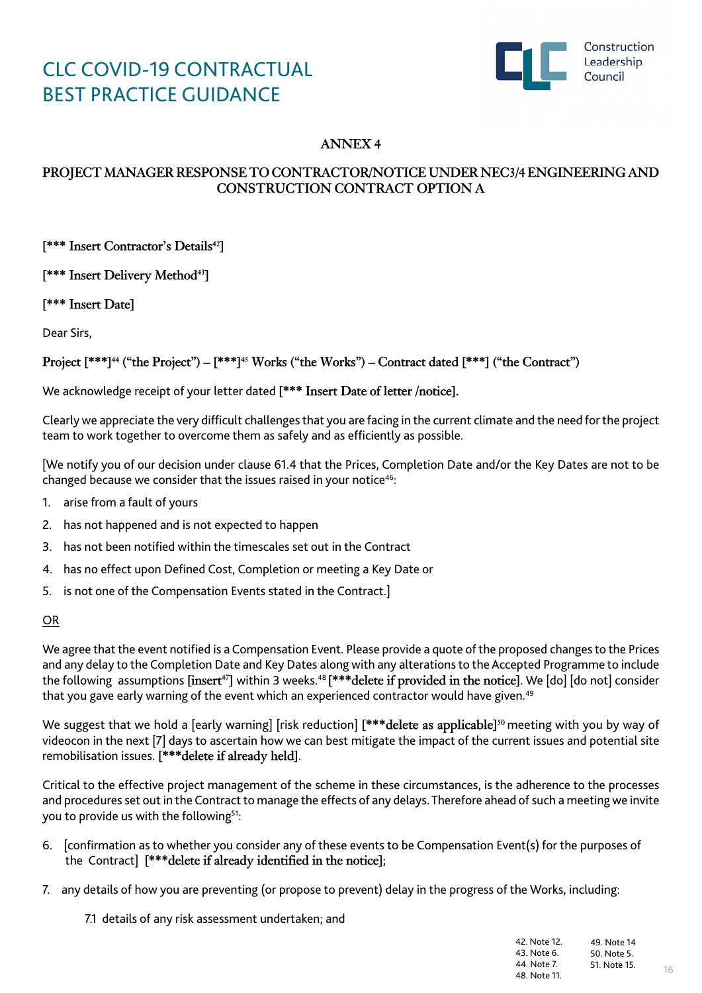

# **ANNEX 4**

## **PROJECT MANAGER RESPONSE TO CONTRACTOR/NOTICE UNDER NEC3/4 ENGINEERING AND CONSTRUCTION CONTRACT OPTION A**

**[\*\*\* Insert Contractor's Details42]**

**[\*\*\* Insert Delivery Method43]**

**[\*\*\* Insert Date]**

Dear Sirs,

**Project [\*\*\*]44 ("the Project") – [\*\*\*]45 Works ("the Works") – Contract dated [\*\*\*] ("the Contract")**

### We acknowledge receipt of your letter dated **[\*\*\* Insert Date of letter /notice].**

Clearly we appreciate the very difficult challenges that you are facing in the current climate and the need for the project team to work together to overcome them as safely and as efficiently as possible.

[We notify you of our decision under clause 61.4 that the Prices, Completion Date and/or the Key Dates are not to be changed because we consider that the issues raised in your notice<sup>46</sup>:

- 1. arise from a fault of yours
- 2. has not happened and is not expected to happen
- 3. has not been notified within the timescales set out in the Contract
- 4. has no effect upon Defined Cost, Completion or meeting a Key Date or
- 5. is not one of the Compensation Events stated in the Contract.]

### OR

We agree that the event notified is a Compensation Event. Please provide a quote of the proposed changes to the Prices and any delay to the Completion Date and Key Dates along with any alterations to the Accepted Programme to include the following assumptions **[insert47]** within 3 weeks.48 **[\*\*\*delete if provided in the notice]**. We [do] [do not] consider that you gave early warning of the event which an experienced contractor would have given.<sup>49</sup>

We suggest that we hold a [early warning] [risk reduction] **[\*\*\*delete as applicable]50** meeting with you by way of videocon in the next [7] days to ascertain how we can best mitigate the impact of the current issues and potential site remobilisation issues. **[\*\*\*delete if already held]**.

Critical to the effective project management of the scheme in these circumstances, is the adherence to the processes and procedures set out in the Contract to manage the effects of any delays. Therefore ahead of such a meeting we invite you to provide us with the following<sup>51</sup>:

- 6. [confirmation as to whether you consider any of these events to be Compensation Event(s) for the purposes of the Contract] **[\*\*\*delete if already identified in the notice]**;
- 7. any details of how you are preventing (or propose to prevent) delay in the progress of the Works, including:
	- 7.1 details of any risk assessment undertaken; and

| 42. Note 12. | 49. Note 14  |
|--------------|--------------|
| 43. Note 6.  | 50. Note 5.  |
| 44. Note 7.  | 51. Note 15. |
| 48. Note 11. |              |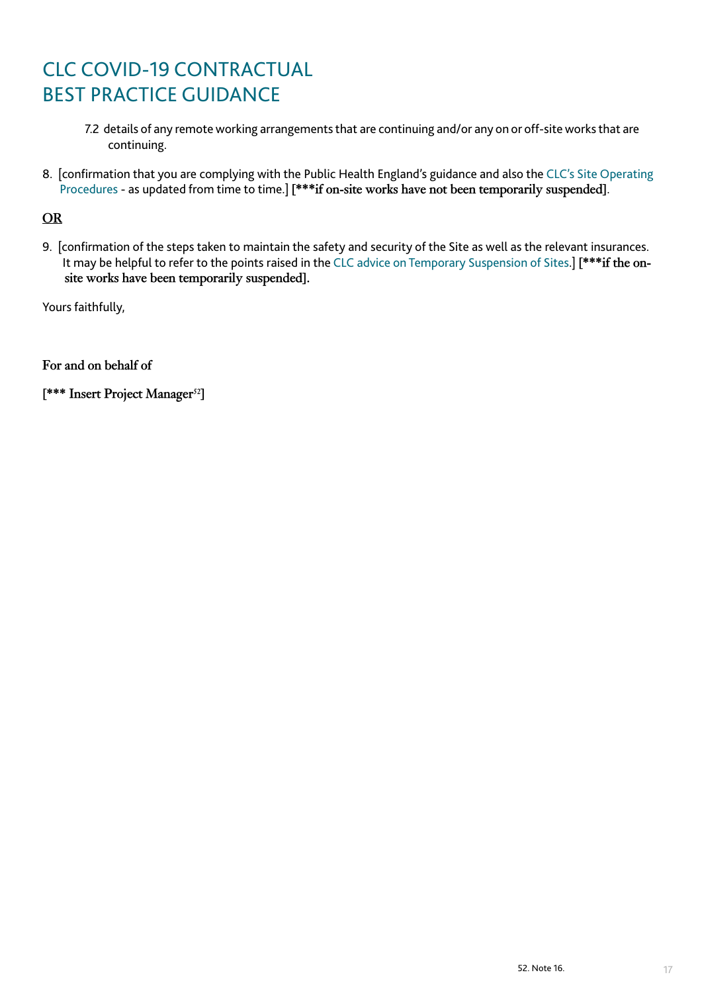- 7.2 details of any remote working arrangements that are continuing and/or any on or off-site works that are continuing.
- 8. [confirmation that you are complying with the Public Health England's guidance and also the [CLC's Site Operating](https://www.constructionleadershipcouncil.co.uk/news/site-operating-procedures-version-3-published/)   [Procedures](https://www.constructionleadershipcouncil.co.uk/news/site-operating-procedures-version-3-published/) - as updated from time to time.] **[\*\*\*if on-site works have not been temporarily suspended]**.

## **OR**

9. [confirmation of the steps taken to maintain the safety and security of the Site as well as the relevant insurances. It may be helpful to refer to the points raised in the [CLC advice on Temporary Suspension of Sites.](https://www.constructionleadershipcouncil.co.uk/news/clc-advice-on-temporary-suspension-of-sites/)] **[\*\*\*if the on site works have been temporarily suspended].** 

Yours faithfully,

**For and on behalf of**

**[\*\*\* Insert Project Manager52]**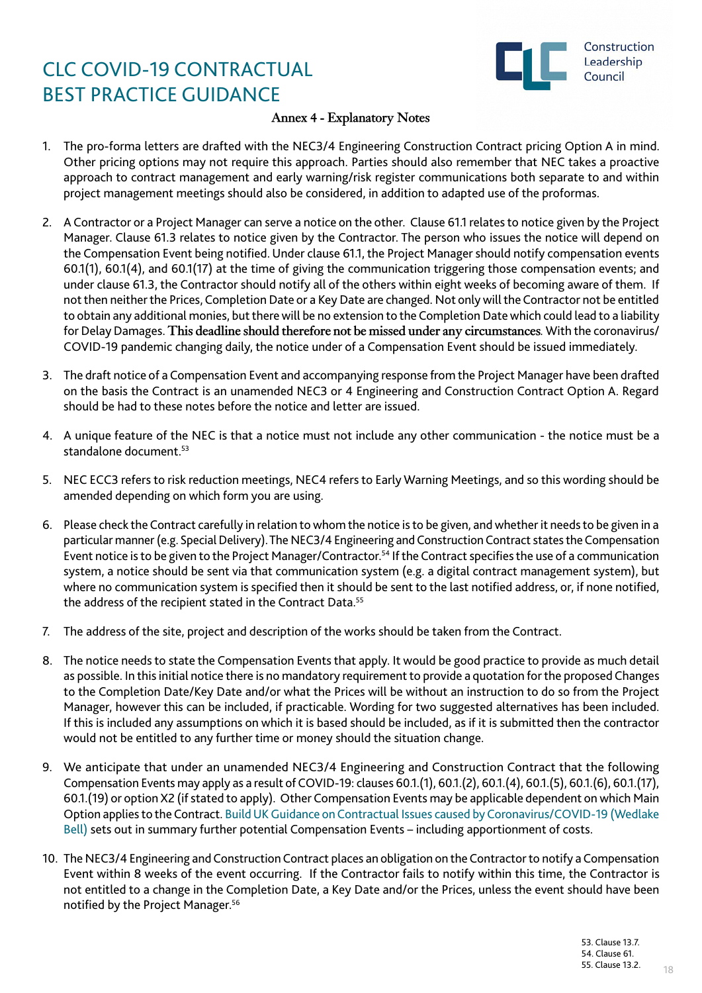

### **Annex 4 - Explanatory Notes**

- 1. The pro-forma letters are drafted with the NEC3/4 Engineering Construction Contract pricing Option A in mind. Other pricing options may not require this approach. Parties should also remember that NEC takes a proactive approach to contract management and early warning/risk register communications both separate to and within project management meetings should also be considered, in addition to adapted use of the proformas.
- 2. A Contractor or a Project Manager can serve a notice on the other. Clause 61.1 relates to notice given by the Project Manager. Clause 61.3 relates to notice given by the Contractor. The person who issues the notice will depend on the Compensation Event being notified. Under clause 61.1, the Project Manager should notify compensation events 60.1(1), 60.1(4), and 60.1(17) at the time of giving the communication triggering those compensation events; and under clause 61.3, the Contractor should notify all of the others within eight weeks of becoming aware of them. If not then neither the Prices, Completion Date or a Key Date are changed. Not only will the Contractor not be entitled to obtain any additional monies, but there will be no extension to the Completion Date which could lead to a liability for Delay Damages. **This deadline should therefore not be missed under any circumstances***.* With the coronavirus/ COVID-19 pandemic changing daily, the notice under of a Compensation Event should be issued immediately.
- 3. The draft notice of a Compensation Event and accompanying response from the Project Manager have been drafted on the basis the Contract is an unamended NEC3 or 4 Engineering and Construction Contract Option A. Regard should be had to these notes before the notice and letter are issued.
- 4. A unique feature of the NEC is that a notice must not include any other communication the notice must be a standalone document<sup>53</sup>
- 5. NEC ECC3 refers to risk reduction meetings, NEC4 refers to Early Warning Meetings, and so this wording should be amended depending on which form you are using.
- 6. Please check the Contract carefully in relation to whom the notice is to be given, and whether it needs to be given in a particular manner (e.g. Special Delivery). The NEC3/4 Engineering and Construction Contract states the Compensation Event notice is to be given to the Project Manager/Contractor.<sup>54</sup> If the Contract specifies the use of a communication system, a notice should be sent via that communication system (e.g. a digital contract management system), but where no communication system is specified then it should be sent to the last notified address, or, if none notified, the address of the recipient stated in the Contract Data.<sup>55</sup>
- 7. The address of the site, project and description of the works should be taken from the Contract.
- 8. The notice needs to state the Compensation Events that apply. It would be good practice to provide as much detail as possible. In this initial notice there is no mandatory requirement to provide a quotation for the proposed Changes to the Completion Date/Key Date and/or what the Prices will be without an instruction to do so from the Project Manager, however this can be included, if practicable. Wording for two suggested alternatives has been included. If this is included any assumptions on which it is based should be included, as if it is submitted then the contractor would not be entitled to any further time or money should the situation change.
- 9. We anticipate that under an unamended NEC3/4 Engineering and Construction Contract that the following Compensation Events may apply as a result of COVID-19: clauses 60.1.(1), 60.1.(2), 60.1.(4), 60.1.(5), 60.1.(6), 60.1.(17), 60.1.(19) or option X2 (if stated to apply). Other Compensation Events may be applicable dependent on which Main Option applies to the Contract. [Build UK Guidance on Contractual Issues caused by Coronavirus/COVID-19 \(Wedlake](https://builduk.org/wp-content/uploads/2020/03/Guidance-on-Contractual-Issues-Caused-by-Coronavirus.pdf) [Bell\)](https://builduk.org/wp-content/uploads/2020/03/Guidance-on-Contractual-Issues-Caused-by-Coronavirus.pdf) sets out in summary further potential Compensation Events – including apportionment of costs.
- 10. The NEC3/4 Engineering and Construction Contract places an obligation on the Contractor to notify a Compensation Event within 8 weeks of the event occurring. If the Contractor fails to notify within this time, the Contractor is not entitled to a change in the Completion Date, a Key Date and/or the Prices, unless the event should have been notified by the Project Manager.56

18